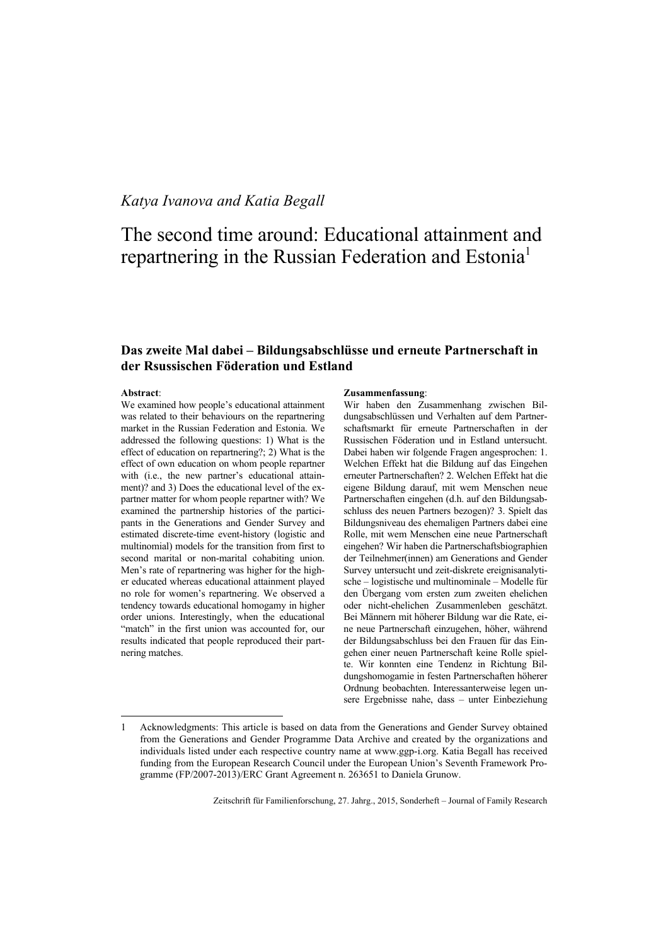# *Katya Ivanova and Katia Begall*

# The second time around: Educational attainment and repartnering in the Russian Federation and Estonia<sup>1</sup>

# **Das zweite Mal dabei – Bildungsabschlüsse und erneute Partnerschaft in der Rsussischen Föderation und Estland**

#### **Abstract**:

 $\overline{a}$ 

We examined how people's educational attainment was related to their behaviours on the repartnering market in the Russian Federation and Estonia. We addressed the following questions: 1) What is the effect of education on repartnering?; 2) What is the effect of own education on whom people repartner with (i.e., the new partner's educational attainment)? and 3) Does the educational level of the expartner matter for whom people repartner with? We examined the partnership histories of the participants in the Generations and Gender Survey and estimated discrete-time event-history (logistic and multinomial) models for the transition from first to second marital or non-marital cohabiting union. Men's rate of repartnering was higher for the higher educated whereas educational attainment played no role for women's repartnering. We observed a tendency towards educational homogamy in higher order unions. Interestingly, when the educational "match" in the first union was accounted for, our results indicated that people reproduced their partnering matches.

#### **Zusammenfassung**:

Wir haben den Zusammenhang zwischen Bildungsabschlüssen und Verhalten auf dem Partnerschaftsmarkt für erneute Partnerschaften in der Russischen Föderation und in Estland untersucht. Dabei haben wir folgende Fragen angesprochen: 1. Welchen Effekt hat die Bildung auf das Eingehen erneuter Partnerschaften? 2. Welchen Effekt hat die eigene Bildung darauf, mit wem Menschen neue Partnerschaften eingehen (d.h. auf den Bildungsabschluss des neuen Partners bezogen)? 3. Spielt das Bildungsniveau des ehemaligen Partners dabei eine Rolle, mit wem Menschen eine neue Partnerschaft eingehen? Wir haben die Partnerschaftsbiographien der Teilnehmer(innen) am Generations and Gender Survey untersucht und zeit-diskrete ereignisanalytische – logistische und multinominale – Modelle für den Übergang vom ersten zum zweiten ehelichen oder nicht-ehelichen Zusammenleben geschätzt. Bei Männern mit höherer Bildung war die Rate, eine neue Partnerschaft einzugehen, höher, während der Bildungsabschluss bei den Frauen für das Eingehen einer neuen Partnerschaft keine Rolle spielte. Wir konnten eine Tendenz in Richtung Bildungshomogamie in festen Partnerschaften höherer Ordnung beobachten. Interessanterweise legen unsere Ergebnisse nahe, dass – unter Einbeziehung

<sup>1</sup> Acknowledgments: This article is based on data from the Generations and Gender Survey obtained from the Generations and Gender Programme Data Archive and created by the organizations and individuals listed under each respective country name at [www.ggp-i.org. K](http://www.ggp-i.org)atia Begall has received funding from the European Research Council under the European Union's Seventh Framework Programme (FP/2007-2013)/ERC Grant Agreement n. 263651 to Daniela Grunow.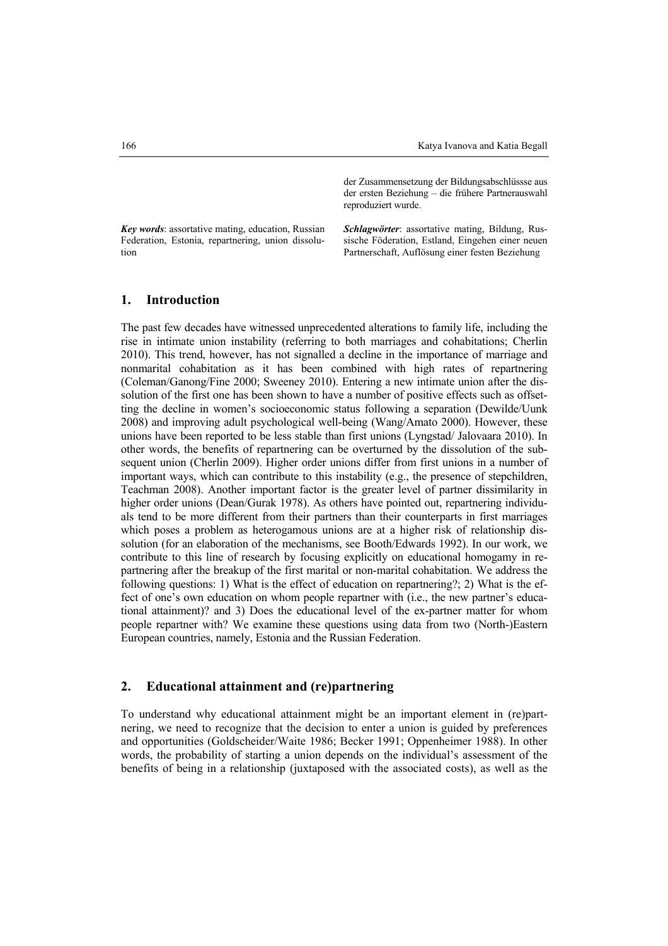*Key words*: assortative mating, education, Russian Federation, Estonia, repartnering, union dissolu-

der Zusammensetzung der Bildungsabschlüssse aus der ersten Beziehung – die frühere Partnerauswahl reproduziert wurde.

*Schlagwörter*: assortative mating, Bildung, Russische Föderation, Estland, Eingehen einer neuen Partnerschaft, Auflösung einer festen Beziehung

#### **1. Introduction**

The past few decades have witnessed unprecedented alterations to family life, including the rise in intimate union instability (referring to both marriages and cohabitations; Cherlin 2010). This trend, however, has not signalled a decline in the importance of marriage and nonmarital cohabitation as it has been combined with high rates of repartnering (Coleman/Ganong/Fine 2000; Sweeney 2010). Entering a new intimate union after the dissolution of the first one has been shown to have a number of positive effects such as offsetting the decline in women's socioeconomic status following a separation (Dewilde/Uunk 2008) and improving adult psychological well-being (Wang/Amato 2000). However, these unions have been reported to be less stable than first unions (Lyngstad/ Jalovaara 2010). In other words, the benefits of repartnering can be overturned by the dissolution of the subsequent union (Cherlin 2009). Higher order unions differ from first unions in a number of important ways, which can contribute to this instability (e.g., the presence of stepchildren, Teachman 2008). Another important factor is the greater level of partner dissimilarity in higher order unions (Dean/Gurak 1978). As others have pointed out, repartnering individuals tend to be more different from their partners than their counterparts in first marriages which poses a problem as heterogamous unions are at a higher risk of relationship dissolution (for an elaboration of the mechanisms, see Booth/Edwards 1992). In our work, we contribute to this line of research by focusing explicitly on educational homogamy in repartnering after the breakup of the first marital or non-marital cohabitation. We address the following questions: 1) What is the effect of education on repartnering?; 2) What is the effect of one's own education on whom people repartner with (i.e., the new partner's educational attainment)? and 3) Does the educational level of the ex-partner matter for whom people repartner with? We examine these questions using data from two (North-)Eastern European countries, namely, Estonia and the Russian Federation.

## **2. Educational attainment and (re)partnering**

To understand why educational attainment might be an important element in (re)partnering, we need to recognize that the decision to enter a union is guided by preferences and opportunities (Goldscheider/Waite 1986; Becker 1991; Oppenheimer 1988). In other words, the probability of starting a union depends on the individual's assessment of the benefits of being in a relationship (juxtaposed with the associated costs), as well as the

tion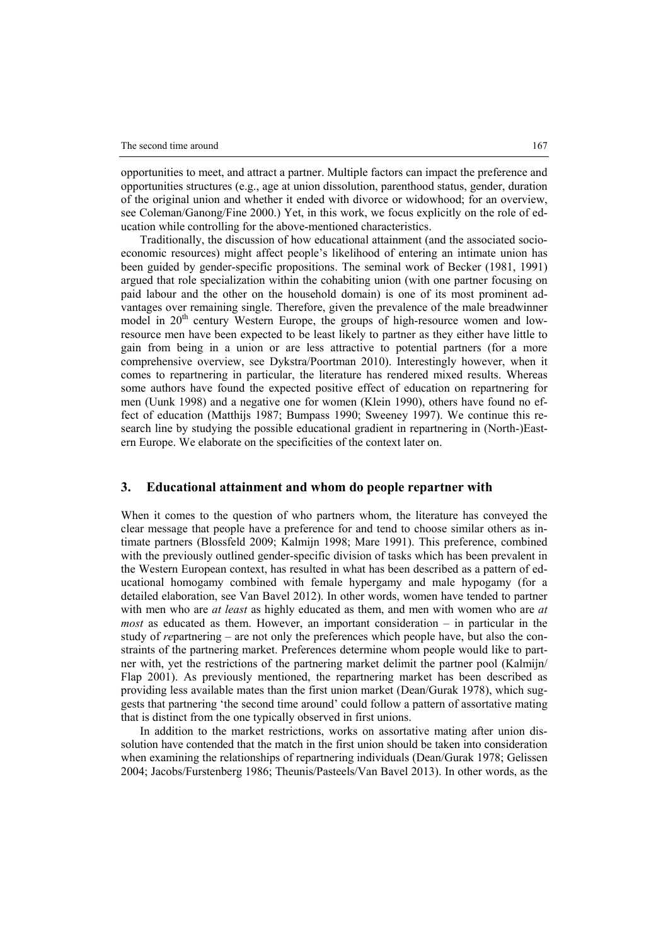opportunities to meet, and attract a partner. Multiple factors can impact the preference and opportunities structures (e.g., age at union dissolution, parenthood status, gender, duration of the original union and whether it ended with divorce or widowhood; for an overview, see Coleman/Ganong/Fine 2000.) Yet, in this work, we focus explicitly on the role of education while controlling for the above-mentioned characteristics.

Traditionally, the discussion of how educational attainment (and the associated socioeconomic resources) might affect people's likelihood of entering an intimate union has been guided by gender-specific propositions. The seminal work of Becker (1981, 1991) argued that role specialization within the cohabiting union (with one partner focusing on paid labour and the other on the household domain) is one of its most prominent advantages over remaining single. Therefore, given the prevalence of the male breadwinner model in 20<sup>th</sup> century Western Europe, the groups of high-resource women and lowresource men have been expected to be least likely to partner as they either have little to gain from being in a union or are less attractive to potential partners (for a more comprehensive overview, see Dykstra/Poortman 2010). Interestingly however, when it comes to repartnering in particular, the literature has rendered mixed results. Whereas some authors have found the expected positive effect of education on repartnering for men (Uunk 1998) and a negative one for women (Klein 1990), others have found no effect of education (Matthijs 1987; Bumpass 1990; Sweeney 1997). We continue this research line by studying the possible educational gradient in repartnering in (North-)Eastern Europe. We elaborate on the specificities of the context later on.

#### **3. Educational attainment and whom do people repartner with**

When it comes to the question of who partners whom, the literature has conveyed the clear message that people have a preference for and tend to choose similar others as intimate partners (Blossfeld 2009; Kalmijn 1998; Mare 1991). This preference, combined with the previously outlined gender-specific division of tasks which has been prevalent in the Western European context, has resulted in what has been described as a pattern of educational homogamy combined with female hypergamy and male hypogamy (for a detailed elaboration, see Van Bavel 2012). In other words, women have tended to partner with men who are *at least* as highly educated as them, and men with women who are *at most* as educated as them. However, an important consideration – in particular in the study of *re*partnering – are not only the preferences which people have, but also the constraints of the partnering market. Preferences determine whom people would like to partner with, yet the restrictions of the partnering market delimit the partner pool (Kalmijn/ Flap 2001). As previously mentioned, the repartnering market has been described as providing less available mates than the first union market (Dean/Gurak 1978), which suggests that partnering 'the second time around' could follow a pattern of assortative mating that is distinct from the one typically observed in first unions.

In addition to the market restrictions, works on assortative mating after union dissolution have contended that the match in the first union should be taken into consideration when examining the relationships of repartnering individuals (Dean/Gurak 1978; Gelissen 2004; Jacobs/Furstenberg 1986; Theunis/Pasteels/Van Bavel 2013). In other words, as the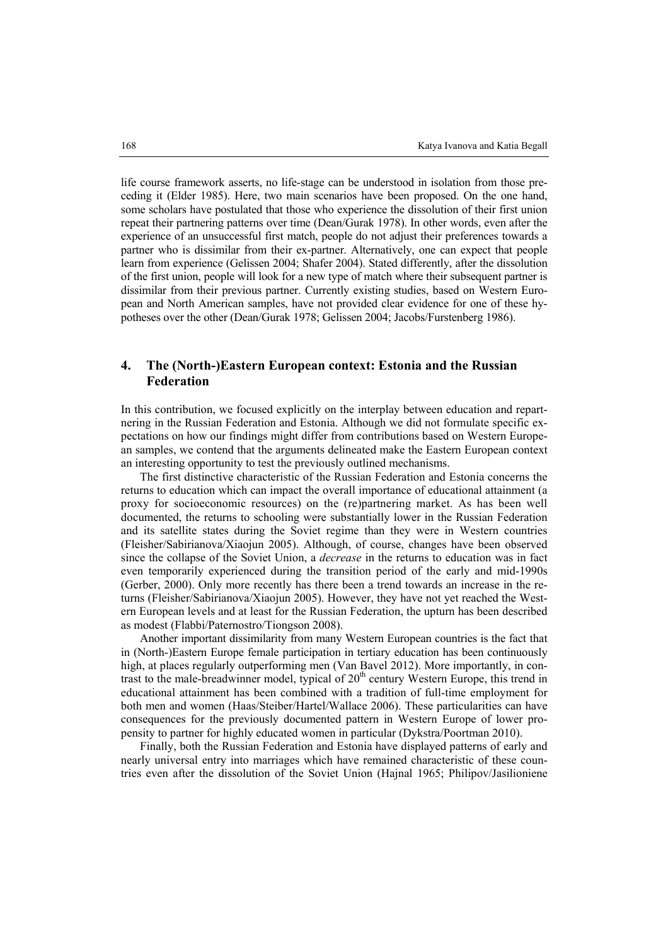life course framework asserts, no life-stage can be understood in isolation from those preceding it (Elder 1985). Here, two main scenarios have been proposed. On the one hand, some scholars have postulated that those who experience the dissolution of their first union repeat their partnering patterns over time (Dean/Gurak 1978). In other words, even after the experience of an unsuccessful first match, people do not adjust their preferences towards a partner who is dissimilar from their ex-partner. Alternatively, one can expect that people learn from experience (Gelissen 2004; Shafer 2004). Stated differently, after the dissolution of the first union, people will look for a new type of match where their subsequent partner is dissimilar from their previous partner. Currently existing studies, based on Western European and North American samples, have not provided clear evidence for one of these hypotheses over the other (Dean/Gurak 1978; Gelissen 2004; Jacobs/Furstenberg 1986).

## **4. The (North-)Eastern European context: Estonia and the Russian Federation**

In this contribution, we focused explicitly on the interplay between education and repartnering in the Russian Federation and Estonia. Although we did not formulate specific expectations on how our findings might differ from contributions based on Western European samples, we contend that the arguments delineated make the Eastern European context an interesting opportunity to test the previously outlined mechanisms.

The first distinctive characteristic of the Russian Federation and Estonia concerns the returns to education which can impact the overall importance of educational attainment (a proxy for socioeconomic resources) on the (re)partnering market. As has been well documented, the returns to schooling were substantially lower in the Russian Federation and its satellite states during the Soviet regime than they were in Western countries (Fleisher/Sabirianova/Xiaojun 2005). Although, of course, changes have been observed since the collapse of the Soviet Union, a *decrease* in the returns to education was in fact even temporarily experienced during the transition period of the early and mid-1990s (Gerber, 2000). Only more recently has there been a trend towards an increase in the returns (Fleisher/Sabirianova/Xiaojun 2005). However, they have not yet reached the Western European levels and at least for the Russian Federation, the upturn has been described as modest (Flabbi/Paternostro/Tiongson 2008).

Another important dissimilarity from many Western European countries is the fact that in (North-)Eastern Europe female participation in tertiary education has been continuously high, at places regularly outperforming men (Van Bavel 2012). More importantly, in contrast to the male-breadwinner model, typical of  $20<sup>th</sup>$  century Western Europe, this trend in educational attainment has been combined with a tradition of full-time employment for both men and women (Haas/Steiber/Hartel/Wallace 2006). These particularities can have consequences for the previously documented pattern in Western Europe of lower propensity to partner for highly educated women in particular (Dykstra/Poortman 2010).

Finally, both the Russian Federation and Estonia have displayed patterns of early and nearly universal entry into marriages which have remained characteristic of these countries even after the dissolution of the Soviet Union (Hajnal 1965; Philipov/Jasilioniene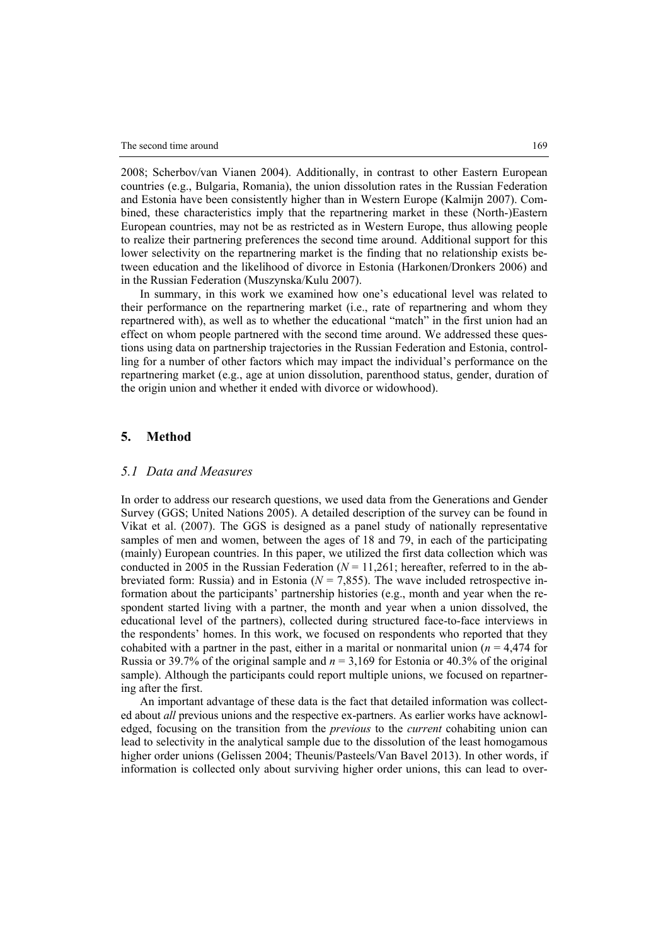2008; Scherbov/van Vianen 2004). Additionally, in contrast to other Eastern European countries (e.g., Bulgaria, Romania), the union dissolution rates in the Russian Federation and Estonia have been consistently higher than in Western Europe (Kalmijn 2007). Combined, these characteristics imply that the repartnering market in these (North-)Eastern European countries, may not be as restricted as in Western Europe, thus allowing people to realize their partnering preferences the second time around. Additional support for this lower selectivity on the repartnering market is the finding that no relationship exists between education and the likelihood of divorce in Estonia (Harkonen/Dronkers 2006) and in the Russian Federation (Muszynska/Kulu 2007).

In summary, in this work we examined how one's educational level was related to their performance on the repartnering market (i.e., rate of repartnering and whom they repartnered with), as well as to whether the educational "match" in the first union had an effect on whom people partnered with the second time around. We addressed these questions using data on partnership trajectories in the Russian Federation and Estonia, controlling for a number of other factors which may impact the individual's performance on the repartnering market (e.g., age at union dissolution, parenthood status, gender, duration of the origin union and whether it ended with divorce or widowhood).

#### **5. Method**

#### *5.1 Data and Measures*

In order to address our research questions, we used data from the Generations and Gender Survey (GGS; United Nations 2005). A detailed description of the survey can be found in Vikat et al. (2007). The GGS is designed as a panel study of nationally representative samples of men and women, between the ages of 18 and 79, in each of the participating (mainly) European countries. In this paper, we utilized the first data collection which was conducted in 2005 in the Russian Federation  $(N = 11,261)$ ; hereafter, referred to in the abbreviated form: Russia) and in Estonia ( $N = 7,855$ ). The wave included retrospective information about the participants' partnership histories (e.g., month and year when the respondent started living with a partner, the month and year when a union dissolved, the educational level of the partners), collected during structured face-to-face interviews in the respondents' homes. In this work, we focused on respondents who reported that they cohabited with a partner in the past, either in a marital or nonmarital union  $(n = 4.474$  for Russia or 39.7% of the original sample and  $n = 3.169$  for Estonia or 40.3% of the original sample). Although the participants could report multiple unions, we focused on repartnering after the first.

An important advantage of these data is the fact that detailed information was collected about *all* previous unions and the respective ex-partners. As earlier works have acknowledged, focusing on the transition from the *previous* to the *current* cohabiting union can lead to selectivity in the analytical sample due to the dissolution of the least homogamous higher order unions (Gelissen 2004; Theunis/Pasteels/Van Bavel 2013). In other words, if information is collected only about surviving higher order unions, this can lead to over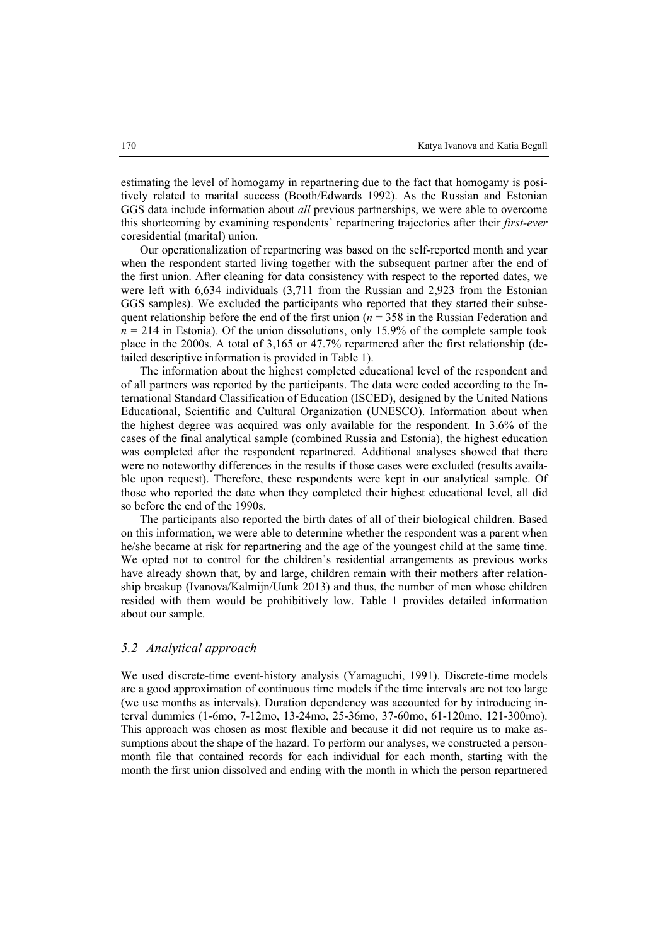estimating the level of homogamy in repartnering due to the fact that homogamy is positively related to marital success (Booth/Edwards 1992). As the Russian and Estonian GGS data include information about *all* previous partnerships, we were able to overcome this shortcoming by examining respondents' repartnering trajectories after their *first-ever* coresidential (marital) union.

Our operationalization of repartnering was based on the self-reported month and year when the respondent started living together with the subsequent partner after the end of the first union. After cleaning for data consistency with respect to the reported dates, we were left with 6,634 individuals (3,711 from the Russian and 2,923 from the Estonian GGS samples). We excluded the participants who reported that they started their subsequent relationship before the end of the first union ( $n = 358$  in the Russian Federation and  $n = 214$  in Estonia). Of the union dissolutions, only 15.9% of the complete sample took place in the 2000s. A total of 3,165 or 47.7% repartnered after the first relationship (detailed descriptive information is provided in Table 1).

The information about the highest completed educational level of the respondent and of all partners was reported by the participants. The data were coded according to the International Standard Classification of Education (ISCED), designed by the United Nations Educational, Scientific and Cultural Organization (UNESCO). Information about when the highest degree was acquired was only available for the respondent. In 3.6% of the cases of the final analytical sample (combined Russia and Estonia), the highest education was completed after the respondent repartnered. Additional analyses showed that there were no noteworthy differences in the results if those cases were excluded (results available upon request). Therefore, these respondents were kept in our analytical sample. Of those who reported the date when they completed their highest educational level, all did so before the end of the 1990s.

The participants also reported the birth dates of all of their biological children. Based on this information, we were able to determine whether the respondent was a parent when he/she became at risk for repartnering and the age of the youngest child at the same time. We opted not to control for the children's residential arrangements as previous works have already shown that, by and large, children remain with their mothers after relationship breakup (Ivanova/Kalmijn/Uunk 2013) and thus, the number of men whose children resided with them would be prohibitively low. Table 1 provides detailed information about our sample.

#### *5.2 Analytical approach*

We used discrete-time event-history analysis (Yamaguchi, 1991). Discrete-time models are a good approximation of continuous time models if the time intervals are not too large (we use months as intervals). Duration dependency was accounted for by introducing interval dummies (1-6mo, 7-12mo, 13-24mo, 25-36mo, 37-60mo, 61-120mo, 121-300mo). This approach was chosen as most flexible and because it did not require us to make assumptions about the shape of the hazard. To perform our analyses, we constructed a personmonth file that contained records for each individual for each month, starting with the month the first union dissolved and ending with the month in which the person repartnered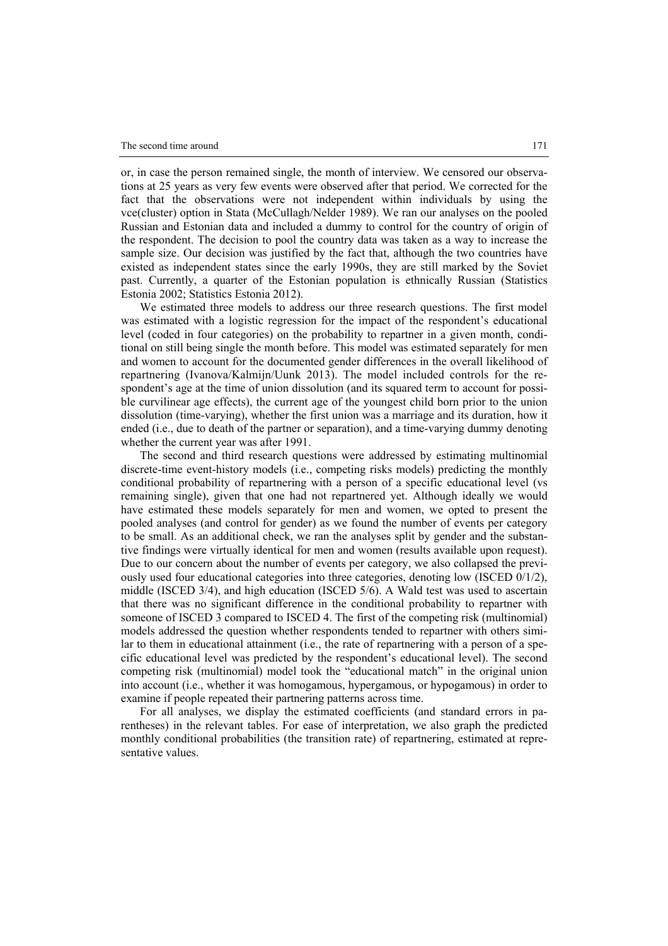or, in case the person remained single, the month of interview. We censored our observations at 25 years as very few events were observed after that period. We corrected for the fact that the observations were not independent within individuals by using the vce(cluster) option in Stata (McCullagh/Nelder 1989). We ran our analyses on the pooled Russian and Estonian data and included a dummy to control for the country of origin of the respondent. The decision to pool the country data was taken as a way to increase the sample size. Our decision was justified by the fact that, although the two countries have existed as independent states since the early 1990s, they are still marked by the Soviet past. Currently, a quarter of the Estonian population is ethnically Russian (Statistics Estonia 2002; Statistics Estonia 2012).

We estimated three models to address our three research questions. The first model was estimated with a logistic regression for the impact of the respondent's educational level (coded in four categories) on the probability to repartner in a given month, conditional on still being single the month before. This model was estimated separately for men and women to account for the documented gender differences in the overall likelihood of repartnering (Ivanova/Kalmijn/Uunk 2013). The model included controls for the respondent's age at the time of union dissolution (and its squared term to account for possible curvilinear age effects), the current age of the youngest child born prior to the union dissolution (time-varying), whether the first union was a marriage and its duration, how it ended (i.e., due to death of the partner or separation), and a time-varying dummy denoting whether the current year was after 1991.

The second and third research questions were addressed by estimating multinomial discrete-time event-history models (i.e., competing risks models) predicting the monthly conditional probability of repartnering with a person of a specific educational level (vs remaining single), given that one had not repartnered yet. Although ideally we would have estimated these models separately for men and women, we opted to present the pooled analyses (and control for gender) as we found the number of events per category to be small. As an additional check, we ran the analyses split by gender and the substantive findings were virtually identical for men and women (results available upon request). Due to our concern about the number of events per category, we also collapsed the previously used four educational categories into three categories, denoting low (ISCED 0/1/2), middle (ISCED 3/4), and high education (ISCED 5/6). A Wald test was used to ascertain that there was no significant difference in the conditional probability to repartner with someone of ISCED 3 compared to ISCED 4. The first of the competing risk (multinomial) models addressed the question whether respondents tended to repartner with others similar to them in educational attainment (i.e., the rate of repartnering with a person of a specific educational level was predicted by the respondent's educational level). The second competing risk (multinomial) model took the "educational match" in the original union into account (i.e., whether it was homogamous, hypergamous, or hypogamous) in order to examine if people repeated their partnering patterns across time.

For all analyses, we display the estimated coefficients (and standard errors in parentheses) in the relevant tables. For ease of interpretation, we also graph the predicted monthly conditional probabilities (the transition rate) of repartnering, estimated at representative values.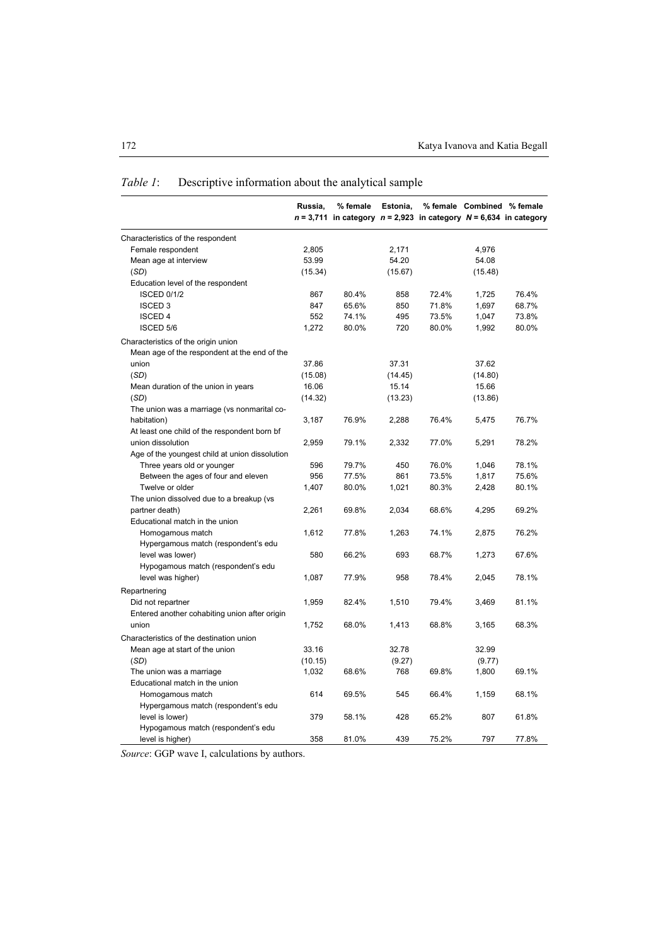|                                                | Russia, | % female<br>$n = 3,711$ in category $n = 2,923$ in category $N = 6,634$ in category | Estonia, |       |         | % female Combined % female |
|------------------------------------------------|---------|-------------------------------------------------------------------------------------|----------|-------|---------|----------------------------|
| Characteristics of the respondent              |         |                                                                                     |          |       |         |                            |
| Female respondent                              | 2,805   |                                                                                     | 2,171    |       | 4,976   |                            |
| Mean age at interview                          | 53.99   |                                                                                     | 54.20    |       | 54.08   |                            |
| (SD)                                           | (15.34) |                                                                                     | (15.67)  |       | (15.48) |                            |
| Education level of the respondent              |         |                                                                                     |          |       |         |                            |
| <b>ISCED 0/1/2</b>                             | 867     | 80.4%                                                                               | 858      | 72.4% | 1,725   | 76.4%                      |
| <b>ISCED 3</b>                                 | 847     | 65.6%                                                                               | 850      | 71.8% | 1,697   | 68.7%                      |
| <b>ISCED 4</b>                                 | 552     | 74.1%                                                                               | 495      | 73.5% | 1,047   | 73.8%                      |
| ISCED 5/6                                      | 1,272   | 80.0%                                                                               | 720      | 80.0% | 1,992   | 80.0%                      |
| Characteristics of the origin union            |         |                                                                                     |          |       |         |                            |
| Mean age of the respondent at the end of the   |         |                                                                                     |          |       |         |                            |
| union                                          | 37.86   |                                                                                     | 37.31    |       | 37.62   |                            |
| (SD)                                           | (15.08) |                                                                                     | (14.45)  |       | (14.80) |                            |
| Mean duration of the union in years            | 16.06   |                                                                                     | 15.14    |       | 15.66   |                            |
| (SD)                                           | (14.32) |                                                                                     | (13.23)  |       | (13.86) |                            |
| The union was a marriage (vs nonmarital co-    |         |                                                                                     |          |       |         |                            |
| habitation)                                    | 3,187   | 76.9%                                                                               | 2,288    | 76.4% | 5,475   | 76.7%                      |
| At least one child of the respondent born bf   |         |                                                                                     |          |       |         |                            |
| union dissolution                              | 2,959   | 79.1%                                                                               | 2,332    | 77.0% | 5,291   | 78.2%                      |
| Age of the youngest child at union dissolution |         |                                                                                     |          |       |         |                            |
| Three years old or younger                     | 596     | 79.7%                                                                               | 450      | 76.0% | 1,046   | 78.1%                      |
| Between the ages of four and eleven            | 956     | 77.5%                                                                               | 861      | 73.5% | 1,817   | 75.6%                      |
| Twelve or older                                | 1,407   | 80.0%                                                                               | 1,021    | 80.3% | 2,428   | 80.1%                      |
| The union dissolved due to a breakup (vs       |         |                                                                                     |          |       |         |                            |
| partner death)                                 | 2,261   | 69.8%                                                                               | 2,034    | 68.6% | 4,295   | 69.2%                      |
| Educational match in the union                 |         |                                                                                     |          |       |         |                            |
| Homogamous match                               | 1,612   | 77.8%                                                                               | 1,263    | 74.1% | 2,875   | 76.2%                      |
| Hypergamous match (respondent's edu            |         |                                                                                     |          |       |         |                            |
| level was lower)                               | 580     | 66.2%                                                                               | 693      | 68.7% | 1,273   | 67.6%                      |
| Hypogamous match (respondent's edu             |         |                                                                                     |          |       |         |                            |
| level was higher)                              | 1,087   | 77.9%                                                                               | 958      | 78.4% | 2,045   | 78.1%                      |
| Repartnering                                   |         |                                                                                     |          |       |         |                            |
| Did not repartner                              | 1,959   | 82.4%                                                                               | 1,510    | 79.4% | 3,469   | 81.1%                      |
| Entered another cohabiting union after origin  |         |                                                                                     |          |       |         |                            |
| union                                          | 1,752   | 68.0%                                                                               | 1,413    | 68.8% | 3,165   | 68.3%                      |
|                                                |         |                                                                                     |          |       |         |                            |
| Characteristics of the destination union       |         |                                                                                     |          |       |         |                            |
| Mean age at start of the union                 | 33.16   |                                                                                     | 32.78    |       | 32.99   |                            |
| (SD)                                           | (10.15) |                                                                                     | (9.27)   |       | (9.77)  |                            |
| The union was a marriage                       | 1,032   | 68.6%                                                                               | 768      | 69.8% | 1,800   | 69.1%                      |
| Educational match in the union                 |         |                                                                                     |          |       |         |                            |
| Homogamous match                               | 614     | 69.5%                                                                               | 545      | 66.4% | 1,159   | 68.1%                      |
| Hypergamous match (respondent's edu            |         |                                                                                     |          |       |         |                            |
| level is lower)                                | 379     | 58.1%                                                                               | 428      | 65.2% | 807     | 61.8%                      |
| Hypogamous match (respondent's edu             |         |                                                                                     |          |       |         |                            |
| level is higher)                               | 358     | 81.0%                                                                               | 439      | 75.2% | 797     | 77.8%                      |

# *Table 1*: Descriptive information about the analytical sample

*Source*: GGP wave I, calculations by authors.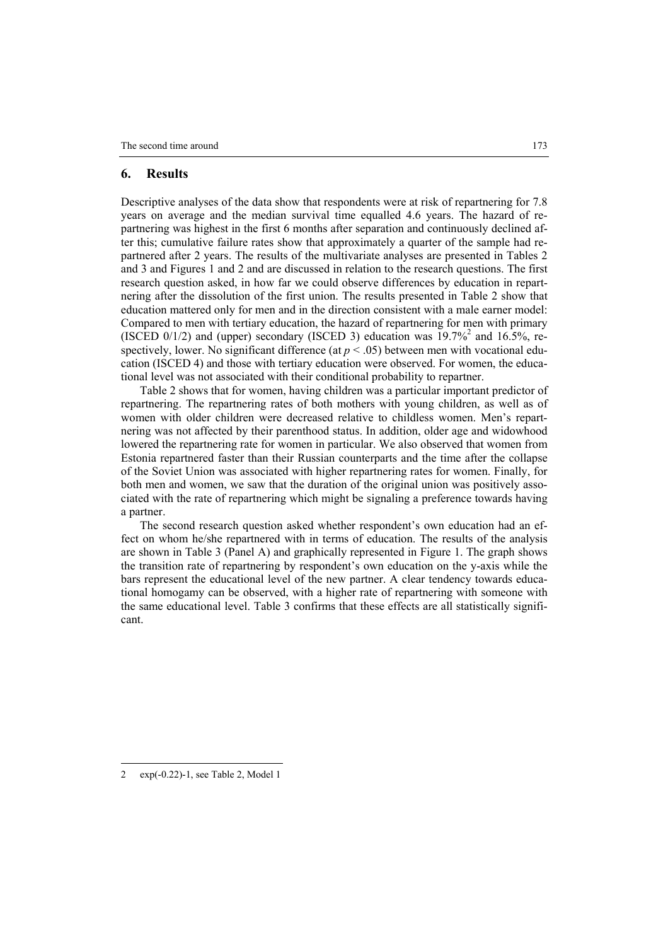#### **6. Results**

Descriptive analyses of the data show that respondents were at risk of repartnering for 7.8 years on average and the median survival time equalled 4.6 years. The hazard of repartnering was highest in the first 6 months after separation and continuously declined after this; cumulative failure rates show that approximately a quarter of the sample had repartnered after 2 years. The results of the multivariate analyses are presented in Tables 2 and 3 and Figures 1 and 2 and are discussed in relation to the research questions. The first research question asked, in how far we could observe differences by education in repartnering after the dissolution of the first union. The results presented in Table 2 show that education mattered only for men and in the direction consistent with a male earner model: Compared to men with tertiary education, the hazard of repartnering for men with primary (ISCED 0/1/2) and (upper) secondary (ISCED 3) education was  $19.7\%^2$  and 16.5%, respectively, lower. No significant difference (at  $p < .05$ ) between men with vocational education (ISCED 4) and those with tertiary education were observed. For women, the educational level was not associated with their conditional probability to repartner.

Table 2 shows that for women, having children was a particular important predictor of repartnering. The repartnering rates of both mothers with young children, as well as of women with older children were decreased relative to childless women. Men's repartnering was not affected by their parenthood status. In addition, older age and widowhood lowered the repartnering rate for women in particular. We also observed that women from Estonia repartnered faster than their Russian counterparts and the time after the collapse of the Soviet Union was associated with higher repartnering rates for women. Finally, for both men and women, we saw that the duration of the original union was positively associated with the rate of repartnering which might be signaling a preference towards having a partner.

The second research question asked whether respondent's own education had an effect on whom he/she repartnered with in terms of education. The results of the analysis are shown in Table 3 (Panel A) and graphically represented in Figure 1. The graph shows the transition rate of repartnering by respondent's own education on the y-axis while the bars represent the educational level of the new partner. A clear tendency towards educational homogamy can be observed, with a higher rate of repartnering with someone with the same educational level. Table 3 confirms that these effects are all statistically significant.

 $\overline{a}$ 

<sup>2</sup> exp(-0.22)-1, see Table 2, Model 1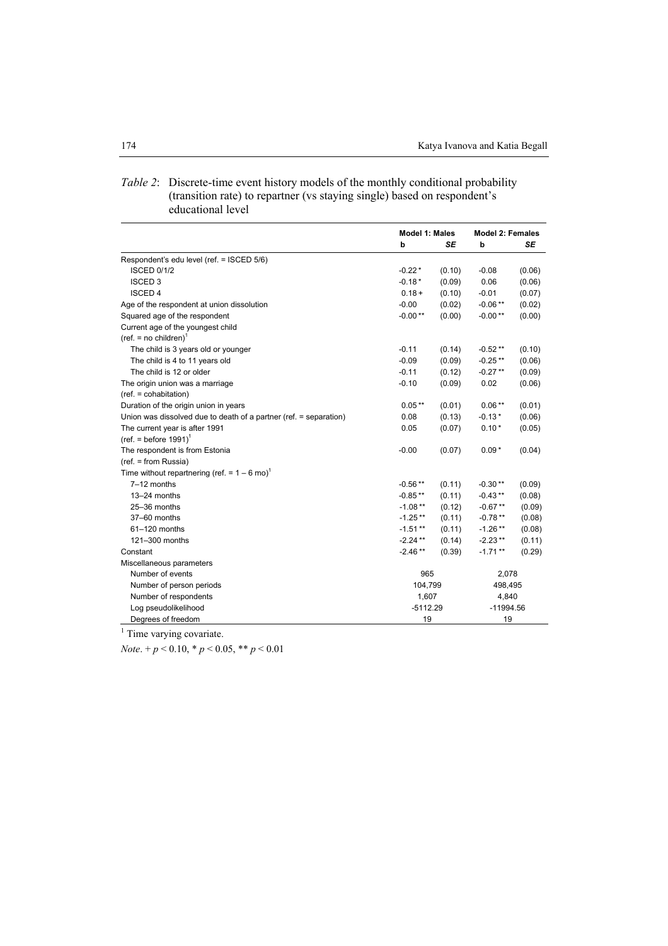|                                                                   | Model 1: Males |                    | <b>Model 2: Females</b> |           |
|-------------------------------------------------------------------|----------------|--------------------|-------------------------|-----------|
|                                                                   | b              | <b>SE</b>          | b                       | <b>SE</b> |
| Respondent's edu level (ref. = ISCED 5/6)                         |                |                    |                         |           |
| <b>ISCED 0/1/2</b>                                                | $-0.22*$       | (0.10)             | $-0.08$                 | (0.06)    |
| <b>ISCED 3</b>                                                    | $-0.18*$       | (0.09)             | 0.06                    | (0.06)    |
| <b>ISCED 4</b>                                                    | $0.18 +$       | (0.10)             | $-0.01$                 | (0.07)    |
| Age of the respondent at union dissolution                        | $-0.00$        | (0.02)             | $-0.06**$               | (0.02)    |
| Squared age of the respondent                                     | $-0.00**$      | (0.00)             | $-0.00**$               | (0.00)    |
| Current age of the youngest child                                 |                |                    |                         |           |
| $(ref. = no children)^1$                                          |                |                    |                         |           |
| The child is 3 years old or younger                               | $-0.11$        | (0.14)             | $-0.52**$               | (0.10)    |
| The child is 4 to 11 years old                                    | $-0.09$        | (0.09)             | $-0.25**$               | (0.06)    |
| The child is 12 or older                                          | $-0.11$        | (0.12)             | $-0.27**$               | (0.09)    |
| The origin union was a marriage                                   | $-0.10$        | (0.09)             | 0.02                    | (0.06)    |
| (ref. = cohabitation)                                             |                |                    |                         |           |
| Duration of the origin union in years                             | $0.05***$      | (0.01)             | $0.06**$                | (0.01)    |
| Union was dissolved due to death of a partner (ref. = separation) | 0.08           | (0.13)             | $-0.13*$                | (0.06)    |
| The current year is after 1991                                    | 0.05           | (0.07)             | $0.10*$                 | (0.05)    |
| (ref. = before $1991$ ) <sup>1</sup>                              |                |                    |                         |           |
| The respondent is from Estonia                                    | $-0.00$        | (0.07)             | $0.09*$                 | (0.04)    |
| $(ref. = from Russia)$                                            |                |                    |                         |           |
| Time without repartnering (ref. = $1 - 6$ mo) <sup>1</sup>        |                |                    |                         |           |
| 7-12 months                                                       | $-0.56**$      | (0.11)             | $-0.30**$               | (0.09)    |
| $13-24$ months                                                    | $-0.85**$      | (0.11)             | $-0.43**$               | (0.08)    |
| 25-36 months                                                      | $-1.08**$      | (0.12)             | $-0.67**$               | (0.09)    |
| 37-60 months                                                      | $-1.25**$      | (0.11)             | $-0.78**$               | (0.08)    |
| 61-120 months                                                     | $-1.51**$      | (0.11)             | $-1.26**$               | (0.08)    |
| 121-300 months                                                    | $-2.24**$      | (0.14)             | $-2.23**$               | (0.11)    |
| Constant                                                          | $-2.46**$      | (0.39)             | $-1.71**$               | (0.29)    |
| Miscellaneous parameters                                          |                |                    |                         |           |
| Number of events                                                  | 965            |                    | 2,078                   |           |
| Number of person periods                                          |                | 104,799<br>498,495 |                         |           |
| Number of respondents                                             | 1,607          |                    | 4,840                   |           |
| Log pseudolikelihood                                              | $-5112.29$     |                    | $-11994.56$             |           |
| Degrees of freedom                                                | 19             |                    | 19                      |           |

## *Table 2*: Discrete-time event history models of the monthly conditional probability (transition rate) to repartner (vs staying single) based on respondent's educational level

<sup>1</sup> Time varying covariate.

*Note*. + *p* < 0.10, \* *p* < 0.05, \*\* *p* < 0.01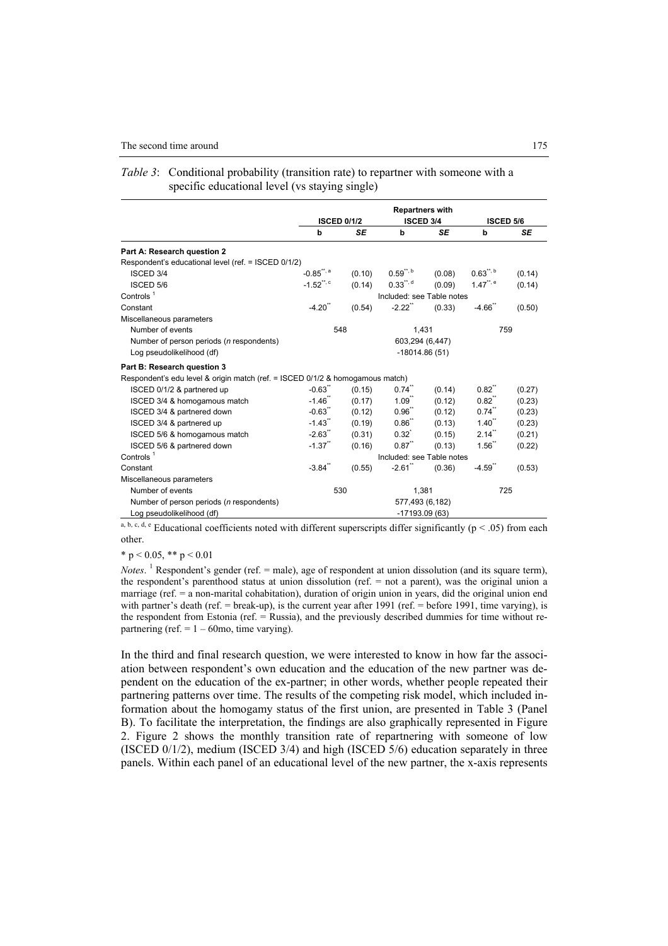|                                                                               |                           |           | <b>Repartners with</b>  |           |                         |        |
|-------------------------------------------------------------------------------|---------------------------|-----------|-------------------------|-----------|-------------------------|--------|
|                                                                               | <b>ISCED 0/1/2</b>        |           | <b>ISCED 3/4</b>        |           | <b>ISCED 5/6</b>        |        |
|                                                                               | b                         | <b>SE</b> | b                       | <b>SE</b> | b                       | SE     |
| Part A: Research question 2                                                   |                           |           |                         |           |                         |        |
| Respondent's educational level (ref. = ISCED 0/1/2)                           |                           |           |                         |           |                         |        |
| <b>ISCED 3/4</b>                                                              | $-0.85$ <sup>**, a</sup>  | (0.10)    | $0.59$ <sup>**, b</sup> | (0.08)    | $0.63^{n, b}$           | (0.14) |
| ISCED 5/6                                                                     | $-1.52$ <sup>**, c</sup>  | (0.14)    | $0.33***$               | (0.09)    | $1.47$ <sup>**, e</sup> | (0.14) |
| Controls $1$                                                                  | Included: see Table notes |           |                         |           |                         |        |
| Constant                                                                      | $-4.20$                   | (0.54)    | $-2.22$                 | (0.33)    | $-4.66$                 | (0.50) |
| Miscellaneous parameters                                                      |                           |           |                         |           |                         |        |
| Number of events                                                              | 548                       |           | 1,431                   |           | 759                     |        |
| Number of person periods (n respondents)                                      |                           |           | 603,294 (6,447)         |           |                         |        |
| Log pseudolikelihood (df)                                                     |                           |           | $-18014.86(51)$         |           |                         |        |
| Part B: Research question 3                                                   |                           |           |                         |           |                         |        |
| Respondent's edu level & origin match (ref. = ISCED 0/1/2 & homogamous match) |                           |           |                         |           |                         |        |
| ISCED 0/1/2 & partnered up                                                    | $-0.63$ <sup>**</sup>     | (0.15)    | $0.74$ <sup>**</sup>    | (0.14)    | $0.82^{n}$              | (0.27) |
| ISCED 3/4 & homogamous match                                                  | $-1.46$                   | (0.17)    | $1.09$ <sup>"</sup>     | (0.12)    | $0.82^{n}$              | (0.23) |
| ISCED 3/4 & partnered down                                                    | $-0.63$ <sup>**</sup>     | (0.12)    | $0.96^{n}$              | (0.12)    | $0.74$ <sup>**</sup>    | (0.23) |
| ISCED 3/4 & partnered up                                                      | $-1.43$ <sup>**</sup>     | (0.19)    | 0.86"                   | (0.13)    | $1.40$ <sup>**</sup>    | (0.23) |
| ISCED 5/6 & homogamous match                                                  | $-2.63$                   | (0.31)    | $0.32^{*}$              | (0.15)    | $2.14$ <sup>"</sup>     | (0.21) |
| ISCED 5/6 & partnered down                                                    | $-1.37$ <sup>**</sup>     | (0.16)    | $0.87$ <sup>**</sup>    | (0.13)    | $1.56^{th}$             | (0.22) |
| Controls $1$                                                                  | Included: see Table notes |           |                         |           |                         |        |
| Constant                                                                      | $-3.84$ <sup>**</sup>     | (0.55)    | $-2.61$                 | (0.36)    | $-4.59$ <sup>**</sup>   | (0.53) |
| Miscellaneous parameters                                                      |                           |           |                         |           |                         |        |
| Number of events                                                              | 530                       |           | 1,381                   |           | 725                     |        |
| Number of person periods ( <i>n</i> respondents)                              |                           |           | 577,493 (6,182)         |           |                         |        |
| Log pseudolikelihood (df)                                                     |                           |           | -17193.09 (63)          |           |                         |        |

| <i>Table 3:</i> Conditional probability (transition rate) to repartner with someone with a |
|--------------------------------------------------------------------------------------------|
| specific educational level (vs staying single)                                             |

a, b, c, d, e Educational coefficients noted with different superscripts differ significantly ( $p < .05$ ) from each other.

\* p < 0.05, \*\* p < 0.01

*Notes*. <sup>1</sup> Respondent's gender (ref. = male), age of respondent at union dissolution (and its square term), the respondent's parenthood status at union dissolution (ref. = not a parent), was the original union a marriage (ref. = a non-marital cohabitation), duration of origin union in years, did the original union end with partner's death (ref. = break-up), is the current year after 1991 (ref. = before 1991, time varying), is the respondent from Estonia (ref. = Russia), and the previously described dummies for time without repartnering (ref.  $= 1 - 60$ mo, time varying).

In the third and final research question, we were interested to know in how far the association between respondent's own education and the education of the new partner was dependent on the education of the ex-partner; in other words, whether people repeated their partnering patterns over time. The results of the competing risk model, which included information about the homogamy status of the first union, are presented in Table 3 (Panel B). To facilitate the interpretation, the findings are also graphically represented in Figure 2. Figure 2 shows the monthly transition rate of repartnering with someone of low (ISCED  $0/1/2$ ), medium (ISCED  $3/4$ ) and high (ISCED  $5/6$ ) education separately in three panels. Within each panel of an educational level of the new partner, the x-axis represents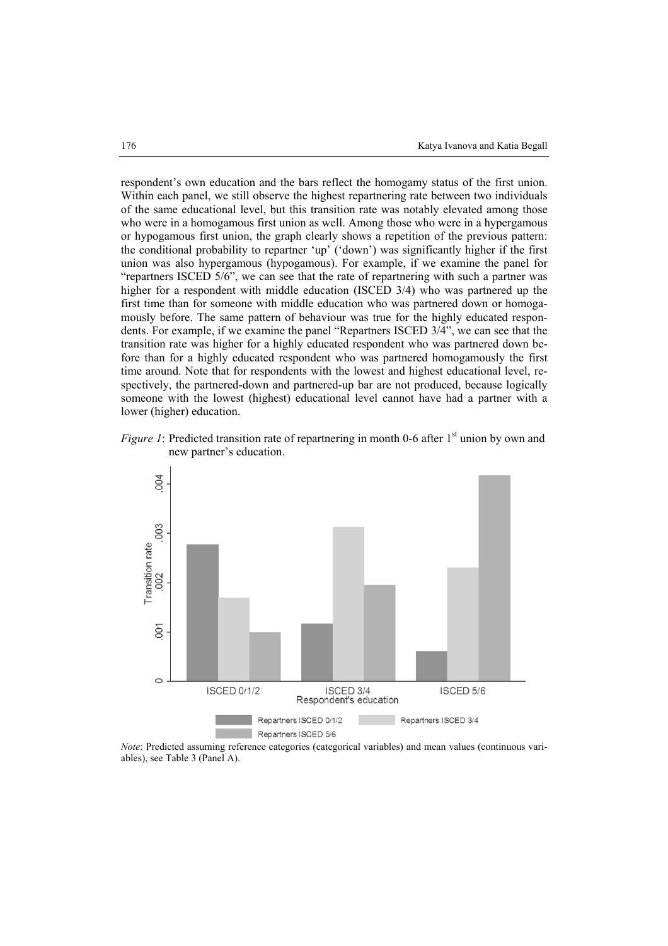respondent's own education and the bars reflect the homogamy status of the first union. Within each panel, we still observe the highest repartnering rate between two individuals of the same educational level, but this transition rate was notably elevated among those who were in a homogamous first union as well. Among those who were in a hypergamous or hypogamous first union, the graph clearly shows a repetition of the previous pattern: the conditional probability to repartner 'up' ('down') was significantly higher if the first union was also hypergamous (hypogamous). For example, if we examine the panel for "repartners ISCED 5/6", we can see that the rate of repartnering with such a partner was higher for a respondent with middle education (ISCED 3/4) who was partnered up the first time than for someone with middle education who was partnered down or homogamously before. The same pattern of behaviour was true for the highly educated respondents. For example, if we examine the panel "Repartners ISCED 3/4", we can see that the transition rate was higher for a highly educated respondent who was partnered down before than for a highly educated respondent who was partnered homogamously the first time around. Note that for respondents with the lowest and highest educational level, respectively, the partnered-down and partnered-up bar are not produced, because logically someone with the lowest (highest) educational level cannot have had a partner with a lower (higher) education.





*Note*: Predicted assuming reference categories (categorical variables) and mean values (continuous variables), see Table 3 (Panel A).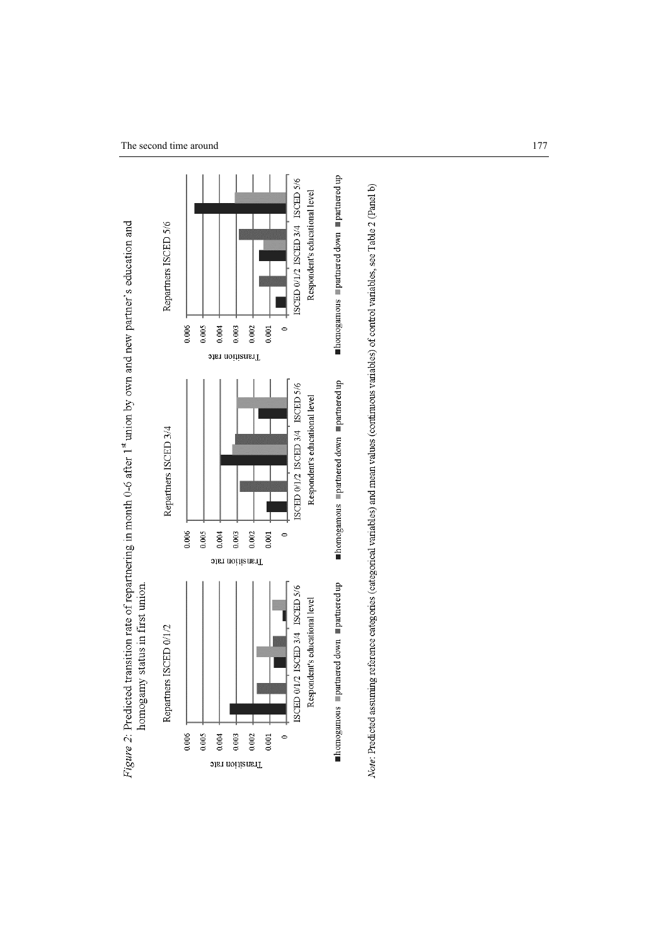



Note: Predicted assuming reference categories (categorical variables) and mean values (continuous variables) of control variables, see Table 2 (Panel b)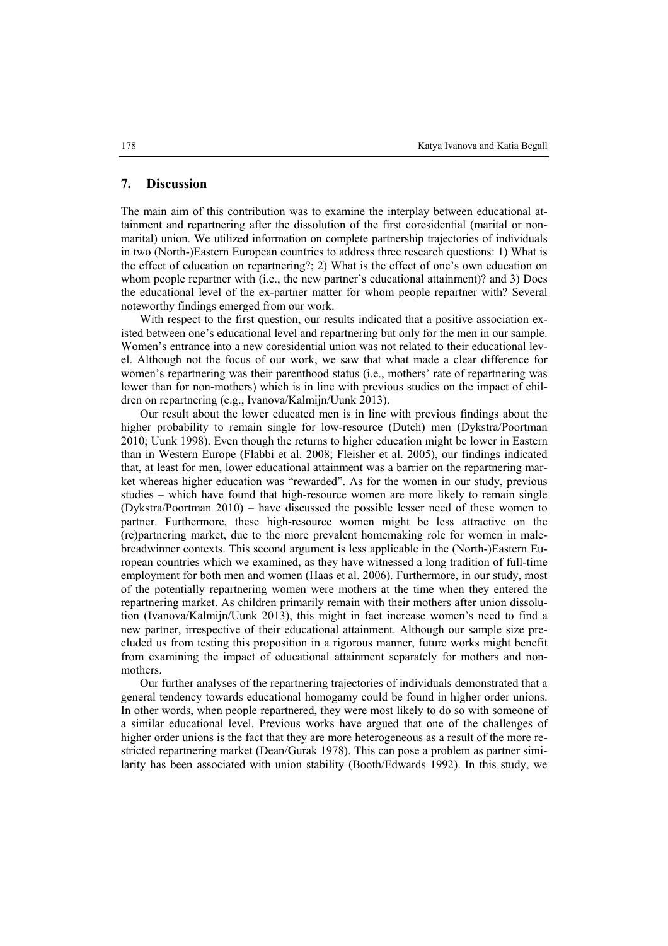#### **7. Discussion**

The main aim of this contribution was to examine the interplay between educational attainment and repartnering after the dissolution of the first coresidential (marital or nonmarital) union. We utilized information on complete partnership trajectories of individuals in two (North-)Eastern European countries to address three research questions: 1) What is the effect of education on repartnering?; 2) What is the effect of one's own education on whom people repartner with (i.e., the new partner's educational attainment)? and 3) Does the educational level of the ex-partner matter for whom people repartner with? Several noteworthy findings emerged from our work.

With respect to the first question, our results indicated that a positive association existed between one's educational level and repartnering but only for the men in our sample. Women's entrance into a new coresidential union was not related to their educational level. Although not the focus of our work, we saw that what made a clear difference for women's repartnering was their parenthood status (i.e., mothers' rate of repartnering was lower than for non-mothers) which is in line with previous studies on the impact of children on repartnering (e.g., Ivanova/Kalmijn/Uunk 2013).

Our result about the lower educated men is in line with previous findings about the higher probability to remain single for low-resource (Dutch) men (Dykstra/Poortman 2010; Uunk 1998). Even though the returns to higher education might be lower in Eastern than in Western Europe (Flabbi et al. 2008; Fleisher et al. 2005), our findings indicated that, at least for men, lower educational attainment was a barrier on the repartnering market whereas higher education was "rewarded". As for the women in our study, previous studies – which have found that high-resource women are more likely to remain single (Dykstra/Poortman 2010) – have discussed the possible lesser need of these women to partner. Furthermore, these high-resource women might be less attractive on the (re)partnering market, due to the more prevalent homemaking role for women in malebreadwinner contexts. This second argument is less applicable in the (North-)Eastern European countries which we examined, as they have witnessed a long tradition of full-time employment for both men and women (Haas et al. 2006). Furthermore, in our study, most of the potentially repartnering women were mothers at the time when they entered the repartnering market. As children primarily remain with their mothers after union dissolution (Ivanova/Kalmijn/Uunk 2013), this might in fact increase women's need to find a new partner, irrespective of their educational attainment. Although our sample size precluded us from testing this proposition in a rigorous manner, future works might benefit from examining the impact of educational attainment separately for mothers and nonmothers.

Our further analyses of the repartnering trajectories of individuals demonstrated that a general tendency towards educational homogamy could be found in higher order unions. In other words, when people repartnered, they were most likely to do so with someone of a similar educational level. Previous works have argued that one of the challenges of higher order unions is the fact that they are more heterogeneous as a result of the more restricted repartnering market (Dean/Gurak 1978). This can pose a problem as partner similarity has been associated with union stability (Booth/Edwards 1992). In this study, we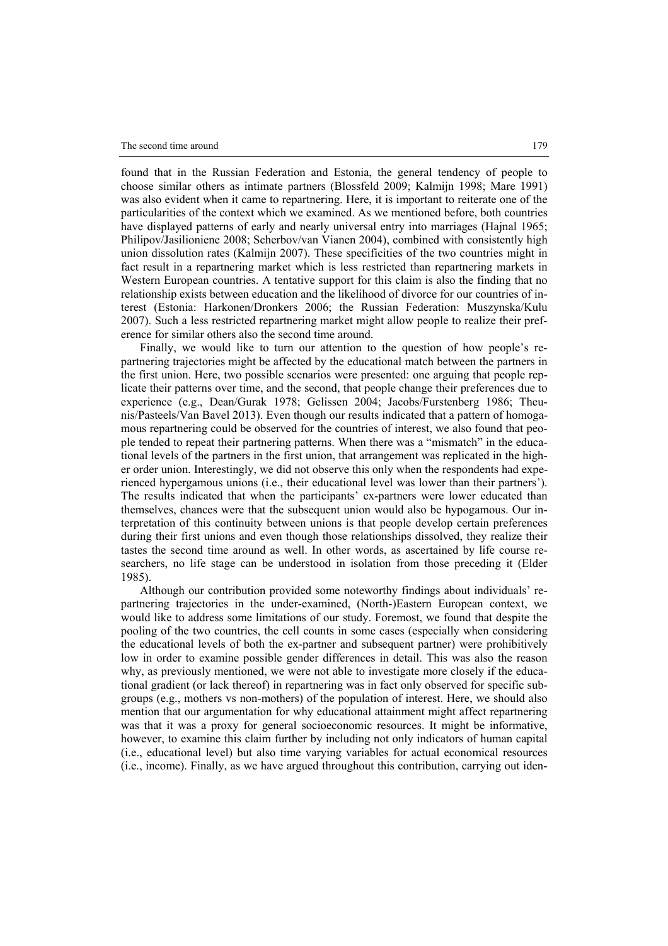found that in the Russian Federation and Estonia, the general tendency of people to choose similar others as intimate partners (Blossfeld 2009; Kalmijn 1998; Mare 1991) was also evident when it came to repartnering. Here, it is important to reiterate one of the particularities of the context which we examined. As we mentioned before, both countries have displayed patterns of early and nearly universal entry into marriages (Hajnal 1965; Philipov/Jasilioniene 2008; Scherbov/van Vianen 2004), combined with consistently high union dissolution rates (Kalmijn 2007). These specificities of the two countries might in fact result in a repartnering market which is less restricted than repartnering markets in Western European countries. A tentative support for this claim is also the finding that no relationship exists between education and the likelihood of divorce for our countries of interest (Estonia: Harkonen/Dronkers 2006; the Russian Federation: Muszynska/Kulu 2007). Such a less restricted repartnering market might allow people to realize their preference for similar others also the second time around.

Finally, we would like to turn our attention to the question of how people's repartnering trajectories might be affected by the educational match between the partners in the first union. Here, two possible scenarios were presented: one arguing that people replicate their patterns over time, and the second, that people change their preferences due to experience (e.g., Dean/Gurak 1978; Gelissen 2004; Jacobs/Furstenberg 1986; Theunis/Pasteels/Van Bavel 2013). Even though our results indicated that a pattern of homogamous repartnering could be observed for the countries of interest, we also found that people tended to repeat their partnering patterns. When there was a "mismatch" in the educational levels of the partners in the first union, that arrangement was replicated in the higher order union. Interestingly, we did not observe this only when the respondents had experienced hypergamous unions (i.e., their educational level was lower than their partners'). The results indicated that when the participants' ex-partners were lower educated than themselves, chances were that the subsequent union would also be hypogamous. Our interpretation of this continuity between unions is that people develop certain preferences during their first unions and even though those relationships dissolved, they realize their tastes the second time around as well. In other words, as ascertained by life course researchers, no life stage can be understood in isolation from those preceding it (Elder 1985).

Although our contribution provided some noteworthy findings about individuals' repartnering trajectories in the under-examined, (North-)Eastern European context, we would like to address some limitations of our study. Foremost, we found that despite the pooling of the two countries, the cell counts in some cases (especially when considering the educational levels of both the ex-partner and subsequent partner) were prohibitively low in order to examine possible gender differences in detail. This was also the reason why, as previously mentioned, we were not able to investigate more closely if the educational gradient (or lack thereof) in repartnering was in fact only observed for specific subgroups (e.g., mothers vs non-mothers) of the population of interest. Here, we should also mention that our argumentation for why educational attainment might affect repartnering was that it was a proxy for general socioeconomic resources. It might be informative, however, to examine this claim further by including not only indicators of human capital (i.e., educational level) but also time varying variables for actual economical resources (i.e., income). Finally, as we have argued throughout this contribution, carrying out iden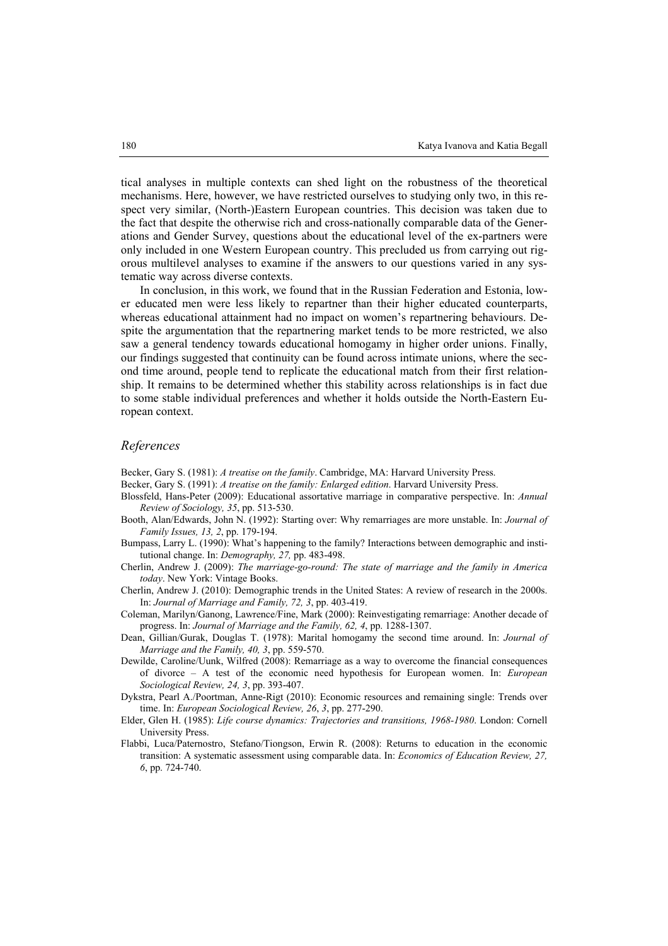tical analyses in multiple contexts can shed light on the robustness of the theoretical mechanisms. Here, however, we have restricted ourselves to studying only two, in this respect very similar, (North-)Eastern European countries. This decision was taken due to the fact that despite the otherwise rich and cross-nationally comparable data of the Generations and Gender Survey, questions about the educational level of the ex-partners were only included in one Western European country. This precluded us from carrying out rigorous multilevel analyses to examine if the answers to our questions varied in any systematic way across diverse contexts.

In conclusion, in this work, we found that in the Russian Federation and Estonia, lower educated men were less likely to repartner than their higher educated counterparts, whereas educational attainment had no impact on women's repartnering behaviours. Despite the argumentation that the repartnering market tends to be more restricted, we also saw a general tendency towards educational homogamy in higher order unions. Finally, our findings suggested that continuity can be found across intimate unions, where the second time around, people tend to replicate the educational match from their first relationship. It remains to be determined whether this stability across relationships is in fact due to some stable individual preferences and whether it holds outside the North-Eastern European context.

#### *References*

Becker, Gary S. (1981): *A treatise on the family*. Cambridge, MA: Harvard University Press.

- Becker, Gary S. (1991): *A treatise on the family: Enlarged edition*. Harvard University Press.
- Blossfeld, Hans-Peter (2009): Educational assortative marriage in comparative perspective. In: *Annual Review of Sociology, 35*, pp. 513-530.
- Booth, Alan/Edwards, John N. (1992): Starting over: Why remarriages are more unstable. In: *Journal of Family Issues, 13, 2*, pp. 179-194.
- Bumpass, Larry L. (1990): What's happening to the family? Interactions between demographic and institutional change. In: *Demography, 27,* pp. 483-498.
- Cherlin, Andrew J. (2009): *The marriage-go-round: The state of marriage and the family in America today*. New York: Vintage Books.
- Cherlin, Andrew J. (2010): Demographic trends in the United States: A review of research in the 2000s. In: *Journal of Marriage and Family, 72, 3*, pp. 403-419.
- Coleman, Marilyn/Ganong, Lawrence/Fine, Mark (2000): Reinvestigating remarriage: Another decade of progress. In: *Journal of Marriage and the Family, 62, 4*, pp. 1288-1307.
- Dean, Gillian/Gurak, Douglas T. (1978): Marital homogamy the second time around. In: *Journal of Marriage and the Family, 40, 3*, pp. 559-570.
- Dewilde, Caroline/Uunk, Wilfred (2008): Remarriage as a way to overcome the financial consequences of divorce – A test of the economic need hypothesis for European women. In: *European Sociological Review, 24, 3*, pp. 393-407.
- Dykstra, Pearl A./Poortman, Anne-Rigt (2010): Economic resources and remaining single: Trends over time. In: *European Sociological Review, 26*, *3*, pp. 277-290.
- Elder, Glen H. (1985): *Life course dynamics: Trajectories and transitions, 1968-1980*. London: Cornell University Press.
- Flabbi, Luca/Paternostro, Stefano/Tiongson, Erwin R. (2008): Returns to education in the economic transition: A systematic assessment using comparable data. In: *Economics of Education Review, 27, 6*, pp. 724-740.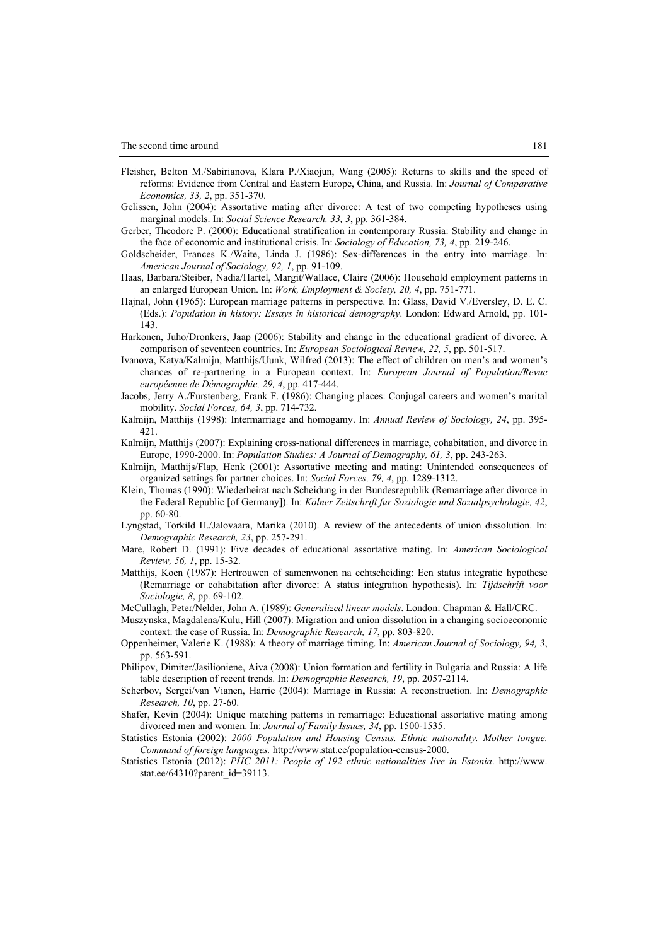- Fleisher, Belton M./Sabirianova, Klara P./Xiaojun, Wang (2005): Returns to skills and the speed of reforms: Evidence from Central and Eastern Europe, China, and Russia. In: *Journal of Comparative Economics, 33, 2*, pp. 351-370.
- Gelissen, John (2004): Assortative mating after divorce: A test of two competing hypotheses using marginal models. In: *Social Science Research, 33, 3*, pp. 361-384.
- Gerber, Theodore P. (2000): Educational stratification in contemporary Russia: Stability and change in the face of economic and institutional crisis. In: *Sociology of Education, 73, 4*, pp. 219-246.
- Goldscheider, Frances K./Waite, Linda J. (1986): Sex-differences in the entry into marriage. In: *American Journal of Sociology, 92, 1*, pp. 91-109.
- Haas, Barbara/Steiber, Nadia/Hartel, Margit/Wallace, Claire (2006): Household employment patterns in an enlarged European Union. In: *Work, Employment & Society, 20, 4*, pp. 751-771.
- Hajnal, John (1965): European marriage patterns in perspective. In: Glass, David V./Eversley, D. E. C. (Eds.): *Population in history: Essays in historical demography*. London: Edward Arnold, pp. 101- 143.
- Harkonen, Juho/Dronkers, Jaap (2006): Stability and change in the educational gradient of divorce. A comparison of seventeen countries. In: *European Sociological Review, 22, 5*, pp. 501-517.
- Ivanova, Katya/Kalmijn, Matthijs/Uunk, Wilfred (2013): The effect of children on men's and women's chances of re-partnering in a European context. In: *European Journal of Population/Revue européenne de Démographie, 29, 4*, pp. 417-444.
- Jacobs, Jerry A./Furstenberg, Frank F. (1986): Changing places: Conjugal careers and women's marital mobility. *Social Forces, 64, 3*, pp. 714-732.
- Kalmijn, Matthijs (1998): Intermarriage and homogamy. In: *Annual Review of Sociology, 24*, pp. 395- 421.
- Kalmijn, Matthijs (2007): Explaining cross-national differences in marriage, cohabitation, and divorce in Europe, 1990-2000. In: *Population Studies: A Journal of Demography, 61, 3*, pp. 243-263.
- Kalmijn, Matthijs/Flap, Henk (2001): Assortative meeting and mating: Unintended consequences of organized settings for partner choices. In: *Social Forces, 79, 4*, pp. 1289-1312.
- Klein, Thomas (1990): Wiederheirat nach Scheidung in der Bundesrepublik (Remarriage after divorce in the Federal Republic [of Germany]). In: *Kölner Zeitschrift fur Soziologie und Sozialpsychologie, 42*, pp. 60-80.
- Lyngstad, Torkild H./Jalovaara, Marika (2010). A review of the antecedents of union dissolution. In: *Demographic Research, 23*, pp. 257-291.
- Mare, Robert D. (1991): Five decades of educational assortative mating. In: *American Sociological Review, 56, 1*, pp. 15-32.
- Matthijs, Koen (1987): Hertrouwen of samenwonen na echtscheiding: Een status integratie hypothese (Remarriage or cohabitation after divorce: A status integration hypothesis). In: *Tijdschrift voor Sociologie, 8*, pp. 69-102.
- McCullagh, Peter/Nelder, John A. (1989): *Generalized linear models*. London: Chapman & Hall/CRC.
- Muszynska, Magdalena/Kulu, Hill (2007): Migration and union dissolution in a changing socioeconomic context: the case of Russia. In: *Demographic Research, 17*, pp. 803-820.
- Oppenheimer, Valerie K. (1988): A theory of marriage timing. In: *American Journal of Sociology, 94, 3*, pp. 563-591.
- Philipov, Dimiter/Jasilioniene, Aiva (2008): Union formation and fertility in Bulgaria and Russia: A life table description of recent trends. In: *Demographic Research, 19*, pp. 2057-2114.
- Scherbov, Sergei/van Vianen, Harrie (2004): Marriage in Russia: A reconstruction. In: *Demographic Research, 10*, pp. 27-60.
- Shafer, Kevin (2004): Unique matching patterns in remarriage: Educational assortative mating among divorced men and women. In: *Journal of Family Issues, 34*, pp. 1500-1535.
- Statistics Estonia (2002): *2000 Population and Housing Census. Ethnic nationality. Mother tongue. Command of foreign languages.* [http://www.stat.ee/population-census-2000.](http://www.stat.ee/population-census-2000)
- Statistics Estonia (2012): *PHC 2011: People of 192 ethnic nationalities live in Estonia*. [http://www.](http://www)  stat.ee/64310?parent\_id=39113.